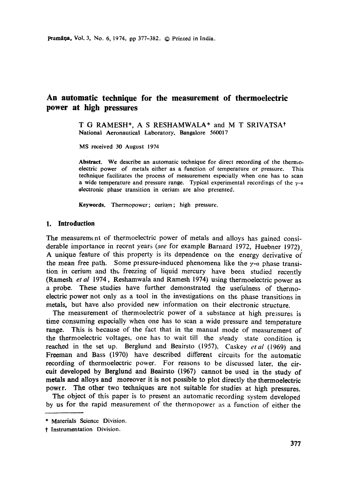# **An automatic technique for the measurement of thermoelectric power at high pressures**

T G RAMESH\*, A S RESHAMWALA\* and M T SRIVATSAt **National** Aeronautical Laboratory, Bangalore 560017

MS received 30 August 1974

**Abstract.** We describe an automatic technique for direct recording of the thermoelectric power of metals either as a function of temperature or pressure. This technique facilitates the process of measurement especially when one has to scan a wide temperature and pressure range. Typical experimental recordings of the  $\gamma$ -a electronic phase transition in cerium are also presented.

Keywords. Thermopower; cerium; high pressure.

#### **1. Introduction**

The measurement of thermoelectric power of metals and alloys has gained considerable importance in recent years *(see* for example Barnard 1972, Huebner 1972). A unique feature of this property is its dependence on the energy derivative of the mean free path. Some pressure-induced phenomena like the  $\gamma$ -a phase transition in cerium and the freezing of liquid mercury have been studied recently (Ramesh *et al* 1974, Reshamwala and Ramesh 1974) using thermoelectric power as a probe. These studies have further demonstrated the usefulness of thermoelectric power not only as a tool in the investigations on the phase transitions in metals, but have also provided new information on their electronic structure.

The measurement of thermoelectric power of a substance at high pressures is time consuming especially when one has to scan a wide pressure and temperature range. This is because of the fact that in the manual mode of measurement of the thermoelectric voltages, one has to wait till the steady state condition is reached in the set up. Berglund and Beairsto (1957), Caskey *etal* (1969) and Freeman and Bass (1970) have described different circuits for the automatic recording of thermoelectric power. For reasons to be discussed later, the circuit developed by Berglund and Beairsto (1967) cannot be used in the study of metals and alloys and moreover it is not possible to plot directly the thermoelectric power. The other two techniques are not suitable for studies at high pressures.

The object of this paper is to present an automatic recording system developed by us for the rapid measurement of the thermopower as a function of either the

<sup>\*</sup> Materials Science Division.

t Instrumentation Division.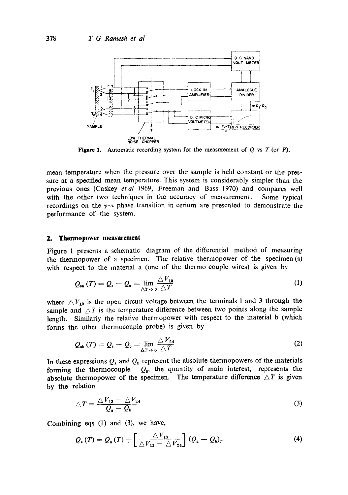

**Figure 1.** Automatic recording system for the measurement of  $Q$  vs  $T$  (or  $P$ ).

mean temperature when the pressure over the sample is held constant or the pressure at a specified mean temperature. This system is considerably simpler than the previous ones (Caskey *etal* 1969, Freeman and Bass 1970) and compares well with the other two techniques in the accuracy of measurement. Some typical recordings on the  $\gamma$ -a phase transition in cerium are presented to demonstrate the performance of the system.

#### **2. Thermopower measurement**

Figure 1 presents a schematic diagram of the differential method of measuring the thermopower of a specimen. The relative thermopower of the specimen (s) with respect to the material a (one of the thermo couple wires) is given by

$$
Q_{\mathbf{sa}}(T) = Q_{\mathbf{a}} - Q_{\mathbf{a}} = \lim_{\Delta T \to 0} \frac{\Delta V_{13}}{\Delta T}
$$
 (1)

where  $\triangle V_{13}$  is the open circuit voltage between the terminals 1 and 3 through the sample and  $\Delta T$  is the temperature difference between two points along the sample length. Similarly the relative thermopower with respect to the material b (which forms the other thermocouple probe) is given by

$$
Q_{\rm sb}(T) = Q_{\rm s} - Q_{\rm b} = \lim_{\Delta T \to 0} \frac{\triangle V_{24}}{\triangle T}
$$
 (2)

In these expressions  $Q_a$  and  $Q_b$  represent the absolute thermopowers of the materials forming the thermocouple. *Qs, the* quantity of main interest, represents the absolute thermopower of the specimen. The temperature difference  $\triangle T$  is given by the relation

$$
\triangle T = \frac{\triangle V_{13} - \triangle V_{24}}{Q_a - Q_b} \tag{3}
$$

Combining eqs (1) and (3), we have,

$$
Q_{\mathbf{a}}(T) = Q_{\mathbf{a}}(T) + \left[\frac{\Delta V_{13}}{\Delta V_{13} - \Delta V_{24}}\right] (Q_{\mathbf{a}} - Q_{\mathbf{b}})_T
$$
 (4)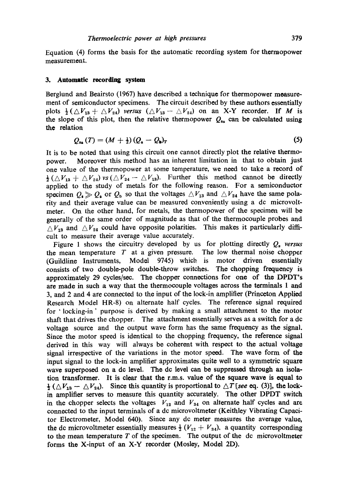Equation (4) forms the basis for the automatic recording system for thermopower measurement.

#### **3. Automatic recording system**

Berglund and Beairsto (1967) have described a technique for thermopower measurement of semiconductor specimens. The circuit described by these authors essentially plots  $\frac{1}{2}(\triangle V_{13}+\triangle V_{24})$  *versus*  $(\triangle V_{13}-\triangle V_{24})$  on an X-Y recorder. If M is the slope of this plot, then the relative thermopower  $Q_{1a}$  can be calculated using the relation

$$
Q_{\mathbf{1a}}(T) = (M + \frac{1}{2})(Q_{\mathbf{a}} - Q_{\mathbf{b}})_T
$$
 (5)

It is to be noted that using this circuit one cannot directly plot the relative thermopower. Moreover this method has an inherent limitation in that to obtain just one value of the thermopower at some temperature, we need to take a record of  $\frac{1}{2}(\Delta V_{13} + \Delta V_{24})$  vs ( $\Delta V_{24} - \Delta V_{13}$ ). Further this method cannot be directly applied to the study of metals for the following reason. For a semiconductor specimen  $Q_s \gg Q_s$  or  $Q_b$  so that the voltages  $\triangle V_{13}$  and  $\triangle V_{24}$  have the same polarity and their average value can be measured conveniently using a dc microvoltmeter. On the other hand, for metals, the thermopower of the specimen will be generally of the same order of magnitude as that of the thermocouple probes and  $\Delta V_{13}$  and  $\Delta V_{24}$  could have opposite polarities. This makes it particularly difficult to measure their average value accurately.

Figure 1 shows the circuitry developed by us for plotting directly *Q, versus*  the mean temperature  $T$  at a given pressure. The low thermal noise chopper (Guildline Instruments, Model 9745) which is motor driven essentially (Guildline Instruments, Model 9745) which is motor driven essentially consists of two double-pole double-throw switches. The chopping frequency is approximately 29 cycles/sec. The chopper connections for one of the DPDT's are made in such a way that the thermocouple voltages across the terminals 1 and **3, and 2 and 4** are connected to the input of the lock-in amplifier (Princeton Applied Research Model HR-8) on alternate half cycles. The reference signal required for 'locking-in' purpose is derived by making a small attachment to the motor shaft that drives the chopper. The attachment essentially serves as a switch for a dc voltage source and the output wave form has the same frequency as the signal. Since the motor speed is identical to the chopping frequency, the reference signal derived in this way will always be coherent with respect to the actual voltage signal irrespective of the variations in the motor speed. The wave form of the input signal to the lock-in amplifier approximates quite well to a symmetric square wave superposed on a de level. The de level can be suppressed through an isolation transformer. It is clear that the r.m.s, value of the square wave is equal to  $\frac{1}{2}$  ( $\triangle V_{13} - \triangle V_{24}$ ). Since this quantity is proportional to  $\triangle T$  [see eq. (3)], the lockin amplifier serves to measure this quantity accurately. The other DPDT switch in the chopper selects the voltages  $V_{12}$  and  $V_{34}$  on alternate half cycles and are connected to the input terminals of adc microvoltmeter (Keithley Vibrating Capacitor Electrometer, Model 640). Since any dc meter measures the average value, the dc microvoltmeter essentially measures  $\frac{1}{2}$  ( $V_{12} + V_{34}$ ), a quantity corresponding to the mean temperature  $T$  of the specimen. The output of the dc microvoltmeter forms the X-input of an X-Y recorder (Mosley, Model 2D).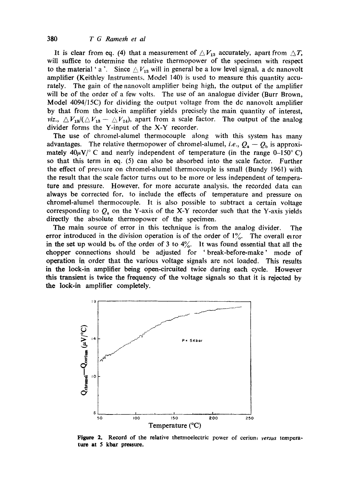It is clear from eq. (4) that a measurement of  $\triangle V_{13}$  accurately, apart from  $\triangle T$ , will suffice to determine the relative thermopower of the specimen with respect to the material ' a '. Since  $\triangle V_{13}$  will in general be a low level signal, a dc nanovolt amplifier (Keithley Instruments, Model 140) is used to measure this quantity accurately. The gain of the nanovolt amplifier being high, the output of the amplifier will be of the order of a few volts. The use of an analogue divider (Burr Brown, Model 4094/15C) for dividing the output voltage from the dc nanovolt amplifier by that from the lock-in amplifier yields precisely the main quantity of interest, *viz.,*  $\Delta V_{13}/(\Delta V_{13} - \Delta V_{24})$ , apart from a scale factor. The output of the analog divider forms the Y-input of the X-Y recorder.

The use of chromel-alumel thermocouple along with this system has many advantages. The relative thermopower of chromel-alumel, *i.e.*,  $Q_a - Q_b$  is approximately  $40\mu\text{V}/^{\circ}$  C and nearly independent of temperature (in the range 0-150°C) so that this term in eq. (5) can also be absorbed into the scale factor. Further the effect of pressure on chromel-alumel thermocouple is small (Bundy 1961) with the result that the scale factor turns out to be more or less independent of temperature and pressure. However, for more accurate analysis, the recorded data can always be corrected for, to include the effects of temperature and pressure on chromel-alumel thermocouple. It is also possible to subtract a certain voltage corresponding to  $Q_a$  on the Y-axis of the X-Y recorder such that the Y-axis yields directly the absolute thermopower of the specimen.

The main source of error in this technique is from the analog divider. The error introduced in the division operation is of the order of  $1\%$ . The overall error in the set up would be of the order of 3 to  $4\%$ . It was found essential that all the chopper connections should be adjusted for 'break-before-make' mode of operation in order that the various voltage signals are not loaded. This results in the lock-in amplifier being open-circuited twice during each cycle. However this transient is twice the frequency of the voltage signals so that it is rejected by the lock-in amplifier completely.



**Figure 2.**  Record of the relative thermoelectric power of cerium *versus* tempera**ture at 5 kbar pressure.**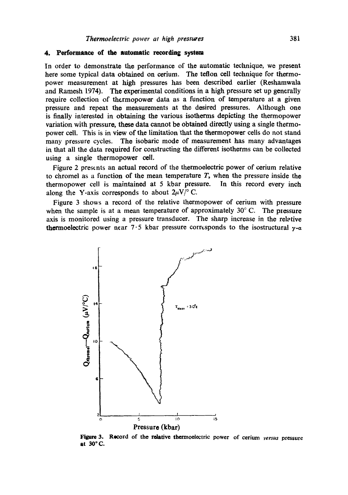## 4. Performaaee of the **automatic recording** system

In order to demonstrate the performance of the automatic teclmique, we present here some typical data obtained on cerium. The teflon cell technique for thermopower measurement at high pressures has been described earlier (Reshamwala and Ramesh 1974). The experimental conditions in a high pressure set up generally require collection of thcrmopower data as a function of temperature at a given pressure and repeat the measurements at the desired pressures. Although one is finally interested in obtaining the various isotherms depicting the thermopower variation with pressure, these data cannot be obtained directly using a single thermopower cell. This is in view of the limitation that the thermopower cells do not stand many pressure cycles. The isobaric mode of measurement has many advantages in that all the data required for constructing the different isotherms can be collected using a single thermopower cell.

Figure 2 presents an actual record of the thermoelectric power of cerium relative to chromel as a function of the mean temperature  $T$ , when the pressure inside the thermopower cell is maintained at 5 kbar pressure. In this record every inch along the Y-axis corresponds to about  $2\mu V$ <sup>o</sup> C.

Figure 3 shows a record of the relative thermopower of cerium with pressure when the sample is at a mean temperature of approximately  $30^{\circ}$  C. The pressure axis is monitored using a pressure transducer. The sharp increase in the relative thermoelectric power near  $7.5$  kbar pressure corresponds to the isostructural  $y-a$ 



Figure 3. Record of the relative thermoelectric power of cerium *versus* pressure **at 30 ° (2.**